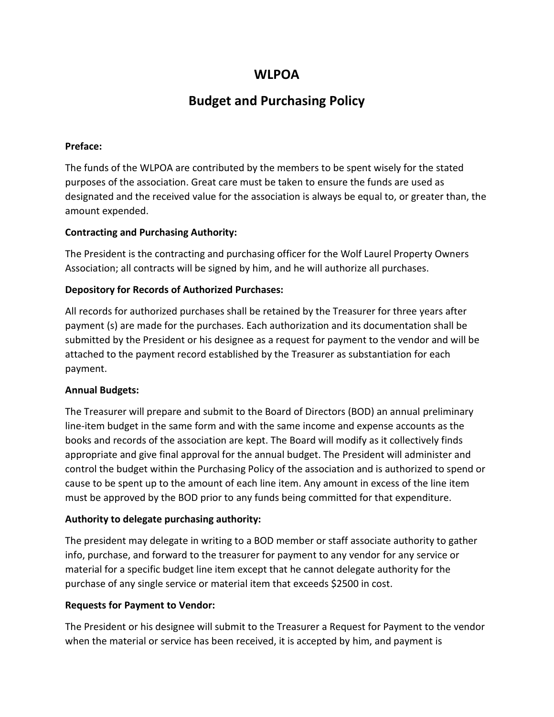# **WLPOA**

# **Budget and Purchasing Policy**

### **Preface:**

The funds of the WLPOA are contributed by the members to be spent wisely for the stated purposes of the association. Great care must be taken to ensure the funds are used as designated and the received value for the association is always be equal to, or greater than, the amount expended.

#### **Contracting and Purchasing Authority:**

The President is the contracting and purchasing officer for the Wolf Laurel Property Owners Association; all contracts will be signed by him, and he will authorize all purchases.

#### **Depository for Records of Authorized Purchases:**

All records for authorized purchases shall be retained by the Treasurer for three years after payment (s) are made for the purchases. Each authorization and its documentation shall be submitted by the President or his designee as a request for payment to the vendor and will be attached to the payment record established by the Treasurer as substantiation for each payment.

#### **Annual Budgets:**

The Treasurer will prepare and submit to the Board of Directors (BOD) an annual preliminary line-item budget in the same form and with the same income and expense accounts as the books and records of the association are kept. The Board will modify as it collectively finds appropriate and give final approval for the annual budget. The President will administer and control the budget within the Purchasing Policy of the association and is authorized to spend or cause to be spent up to the amount of each line item. Any amount in excess of the line item must be approved by the BOD prior to any funds being committed for that expenditure.

# **Authority to delegate purchasing authority:**

The president may delegate in writing to a BOD member or staff associate authority to gather info, purchase, and forward to the treasurer for payment to any vendor for any service or material for a specific budget line item except that he cannot delegate authority for the purchase of any single service or material item that exceeds \$2500 in cost.

#### **Requests for Payment to Vendor:**

The President or his designee will submit to the Treasurer a Request for Payment to the vendor when the material or service has been received, it is accepted by him, and payment is